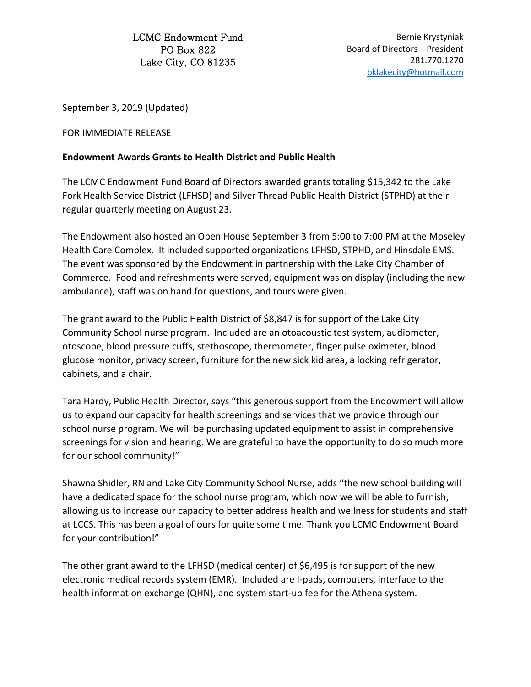LCMC Endowment Fund PO Box 822 Lake City, CO 81235

Bernie Krystyniak Board of Directors – President 281.770.1270 [bklakecity@hotmail.com](mailto:bklakecity@hotmail.com)

September 3, 2019 (Updated)

FOR IMMEDIATE RELEASE

## **Endowment Awards Grants to Health District and Public Health**

The LCMC Endowment Fund Board of Directors awarded grants totaling \$15,342 to the Lake Fork Health Service District (LFHSD) and Silver Thread Public Health District (STPHD) at their regular quarterly meeting on August 23.

The Endowment also hosted an Open House September 3 from 5:00 to 7:00 PM at the Moseley Health Care Complex. It included supported organizations LFHSD, STPHD, and Hinsdale EMS. The event was sponsored by the Endowment in partnership with the Lake City Chamber of Commerce. Food and refreshments were served, equipment was on display (including the new ambulance), staff was on hand for questions, and tours were given.

The grant award to the Public Health District of \$8,847 is for support of the Lake City Community School nurse program. Included are an otoacoustic test system, audiometer, otoscope, blood pressure cuffs, stethoscope, thermometer, finger pulse oximeter, blood glucose monitor, privacy screen, furniture for the new sick kid area, a locking refrigerator, cabinets, and a chair.

Tara Hardy, Public Health Director, says "this generous support from the Endowment will allow us to expand our capacity for health screenings and services that we provide through our school nurse program. We will be purchasing updated equipment to assist in comprehensive screenings for vision and hearing. We are grateful to have the opportunity to do so much more for our school community!"

Shawna Shidler, RN and Lake City Community School Nurse, adds "the new school building will have a dedicated space for the school nurse program, which now we will be able to furnish, allowing us to increase our capacity to better address health and wellness for students and staff at LCCS. This has been a goal of ours for quite some time. Thank you LCMC Endowment Board for your contribution!"

The other grant award to the LFHSD (medical center) of \$6,495 is for support of the new electronic medical records system (EMR). Included are I-pads, computers, interface to the health information exchange (QHN), and system start-up fee for the Athena system.